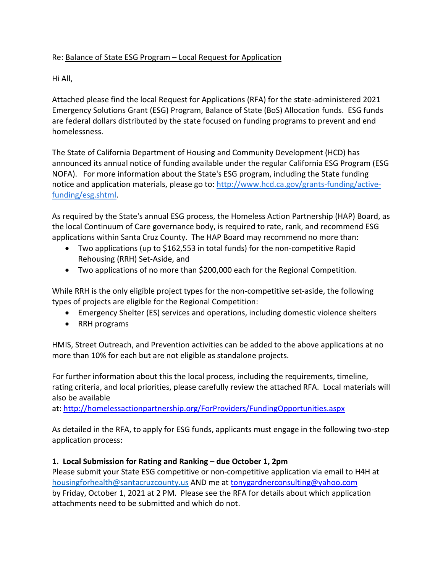## Re: Balance of State ESG Program – Local Request for Application

Hi All,

Attached please find the local Request for Applications (RFA) for the state-administered 2021 Emergency Solutions Grant (ESG) Program, Balance of State (BoS) Allocation funds. ESG funds are federal dollars distributed by the state focused on funding programs to prevent and end homelessness.

The State of California Department of Housing and Community Development (HCD) has announced its annual notice of funding available under the regular California ESG Program (ESG NOFA). For more information about the State's ESG program, including the State funding notice and application materials, please go to: [http://www.hcd.ca.gov/grants-funding/active](http://www.hcd.ca.gov/grants-funding/active-funding/esg.shtml)[funding/esg.shtml.](http://www.hcd.ca.gov/grants-funding/active-funding/esg.shtml)

As required by the State's annual ESG process, the Homeless Action Partnership (HAP) Board, as the local Continuum of Care governance body, is required to rate, rank, and recommend ESG applications within Santa Cruz County. The HAP Board may recommend no more than:

- Two applications (up to \$162,553 in total funds) for the non-competitive Rapid Rehousing (RRH) Set-Aside, and
- Two applications of no more than \$200,000 each for the Regional Competition.

While RRH is the only eligible project types for the non-competitive set-aside, the following types of projects are eligible for the Regional Competition:

- Emergency Shelter (ES) services and operations, including domestic violence shelters
- RRH programs

HMIS, Street Outreach, and Prevention activities can be added to the above applications at no more than 10% for each but are not eligible as standalone projects.

For further information about this the local process, including the requirements, timeline, rating criteria, and local priorities, please carefully review the attached RFA. Local materials will also be available

at: <http://homelessactionpartnership.org/ForProviders/FundingOpportunities.aspx>

As detailed in the RFA, to apply for ESG funds, applicants must engage in the following two-step application process:

## **1. Local Submission for Rating and Ranking – due October 1, 2pm**

Please submit your State ESG competitive or non-competitive application via email to H4H at [housingforhealth@santacruzcounty.us](mailto:housingforhealth@santacruzcounty.us) AND me at [tonygardnerconsulting@yahoo.com](mailto:tonygardnerconsulting@yahoo.com) by Friday, October 1, 2021 at 2 PM. Please see the RFA for details about which application attachments need to be submitted and which do not.